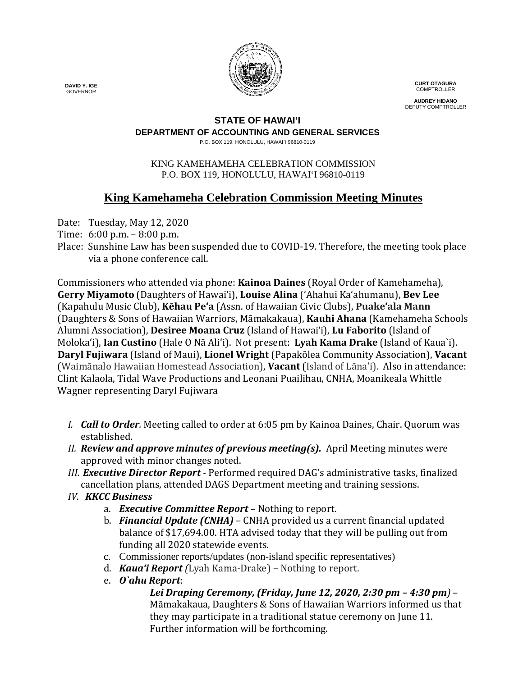

**CURT OTAGURA COMPTROLLER** 

**AUDREY HIDANO** DEPUTY COMPTROLLER

#### **STATE OF HAWAI'I**

### **DEPARTMENT OF ACCOUNTING AND GENERAL SERVICES**

P.O. BOX 119, HONOLULU, HAWAI`I 96810-0119

#### KING KAMEHAMEHA CELEBRATION COMMISSION P.O. BOX 119, HONOLULU, HAWAIʻI 96810-0119

# **King Kamehameha Celebration Commission Meeting Minutes**

Date: Tuesday, May 12, 2020

- Time: 6:00 p.m. 8:00 p.m.
- Place: Sunshine Law has been suspended due to COVID-19. Therefore, the meeting took place via a phone conference call.

Commissioners who attended via phone: **Kainoa Daines** (Royal Order of Kamehameha), **Gerry Miyamoto** (Daughters of Hawai'i), **Louise Alina** ('Ahahui Ka'ahumanu), **Bev Lee** (Kapahulu Music Club), **Kēhau Pe'a** (Assn. of Hawaiian Civic Clubs), **Puakeʻala Mann** (Daughters & Sons of Hawaiian Warriors, Māmakakaua), **Kauhi Ahana** (Kamehameha Schools Alumni Association), **Desiree Moana Cruz** (Island of Hawai'i), **Lu Faborito** (Island of Moloka'i), **Ian Custino** (Hale O Nā Ali'i). Not present: **Lyah Kama Drake** (Island of Kaua`i). **Daryl Fujiwara** (Island of Maui), **Lionel Wright** (Papakōlea Community Association), **Vacant** (Waimānalo Hawaiian Homestead Association), **Vacant** (Island of Lāna'i). Also in attendance: Clint Kalaola, Tidal Wave Productions and Leonani Puailihau, CNHA, Moanikeala Whittle Wagner representing Daryl Fujiwara

- *I. Call to Order.* Meeting called to order at 6:05 pm by Kainoa Daines, Chair. Quorum was established.
- *II. Review and approve minutes of previous meeting(s).* April Meeting minutes were approved with minor changes noted.
- *III. Executive Director Report -* Performed required DAG's administrative tasks, finalized cancellation plans, attended DAGS Department meeting and training sessions.
- *IV. KKCC Business* 
	- a. *Executive Committee Report –* Nothing to report.
	- b. *Financial Update (CNHA)* CNHA provided us a current financial updated balance of \$17,694.00. HTA advised today that they will be pulling out from funding all 2020 statewide events.
	- c. Commissioner reports/updates (non-island specific representatives)
	- d. *Kaua'i Report (*Lyah Kama-Drake) *–* Nothing to report.
	- e. *O`ahu Report*:

i. *Lei Draping Ceremony, (Friday, June 12, 2020, 2:30 pm – 4:30 pm)* – Māmakakaua, Daughters & Sons of Hawaiian Warriors informed us that they may participate in a traditional statue ceremony on June 11. Further information will be forthcoming.

 **DAVID Y. IGE** GOVERNOR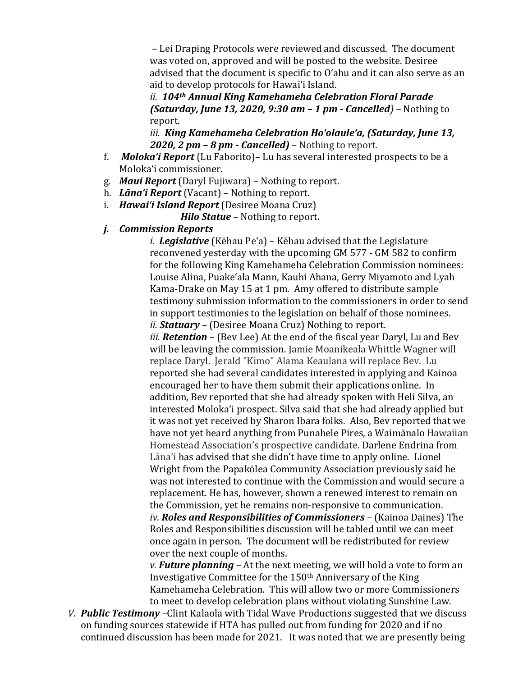– Lei Draping Protocols were reviewed and discussed. The document was voted on, approved and will be posted to the website. Desiree advised that the document is specific to O'ahu and it can also serve as an aid to develop protocols for Hawai'i Island.

*ii. 104th Annual King Kamehameha Celebration Floral Parade (Saturday, June 13, 2020, 9:30 am – 1 pm - Cancelled) –* Nothing to report.

*iii. King Kamehameha Celebration Ho'olaule'a, (Saturday, June 13, 2020, 2 pm – 8 pm - Cancelled)* – Nothing to report.

- f. *Moloka'i Report* (Lu Faborito)– Lu has several interested prospects to be a Moloka'i commissioner.
- g. *Maui Report* (Daryl Fujiwara) Nothing to report.
- h. *Lāna'i Report* (Vacant) Nothing to report.
- i. *Hawai'i Island Report* (Desiree Moana Cruz)

*Hilo Statue* – Nothing to report.

## *j. Commission Reports*

*i. i. Legislative* (Kēhau Pe'a) – Kēhau advised that the Legislature reconvened yesterday with the upcoming GM 577 - GM 582 to confirm for the following King Kamehameha Celebration Commission nominees: Louise Alina, Puake'ala Mann, Kauhi Ahana, Gerry Miyamoto and Lyah Kama-Drake on May 15 at 1 pm. Amy offered to distribute sample testimony submission information to the commissioners in order to send in support testimonies to the legislation on behalf of those nominees. *ii. Statuary –* (Desiree Moana Cruz) Nothing to report.

*iii. Retention –* (Bev Lee) At the end of the fiscal year Daryl, Lu and Bev will be leaving the commission. Jamie Moanikeala Whittle Wagner will replace Daryl. Jerald "Kimo" Alama Keaulana will replace Bev. Lu reported she had several candidates interested in applying and Kainoa encouraged her to have them submit their applications online. In addition, Bev reported that she had already spoken with Heli Silva, an interested Moloka'i prospect. Silva said that she had already applied but it was not yet received by Sharon Ibara folks. Also, Bev reported that we have not yet heard anything from Punahele Pires, a Waimānalo Hawaiian Homestead Association's prospective candidate. Darlene Endrina from Lāna'i has advised that she didn't have time to apply online. Lionel Wright from the Papakōlea Community Association previously said he was not interested to continue with the Commission and would secure a replacement. He has, however, shown a renewed interest to remain on the Commission, yet he remains non-responsive to communication. *iv. Roles and Responsibilities of Commissioners –* (Kainoa Daines) The Roles and Responsibilities discussion will be tabled until we can meet once again in person. The document will be redistributed for review over the next couple of months.

*ii. v. Future planning –* At the next meeting, we will hold a vote to form an Investigative Committee for the 150th Anniversary of the King Kamehameha Celebration. This will allow two or more Commissioners to meet to develop celebration plans without violating Sunshine Law.

*V. Public Testimony –*Clint Kalaola with Tidal Wave Productions suggested that we discuss on funding sources statewide if HTA has pulled out from funding for 2020 and if no continued discussion has been made for 2021. It was noted that we are presently being